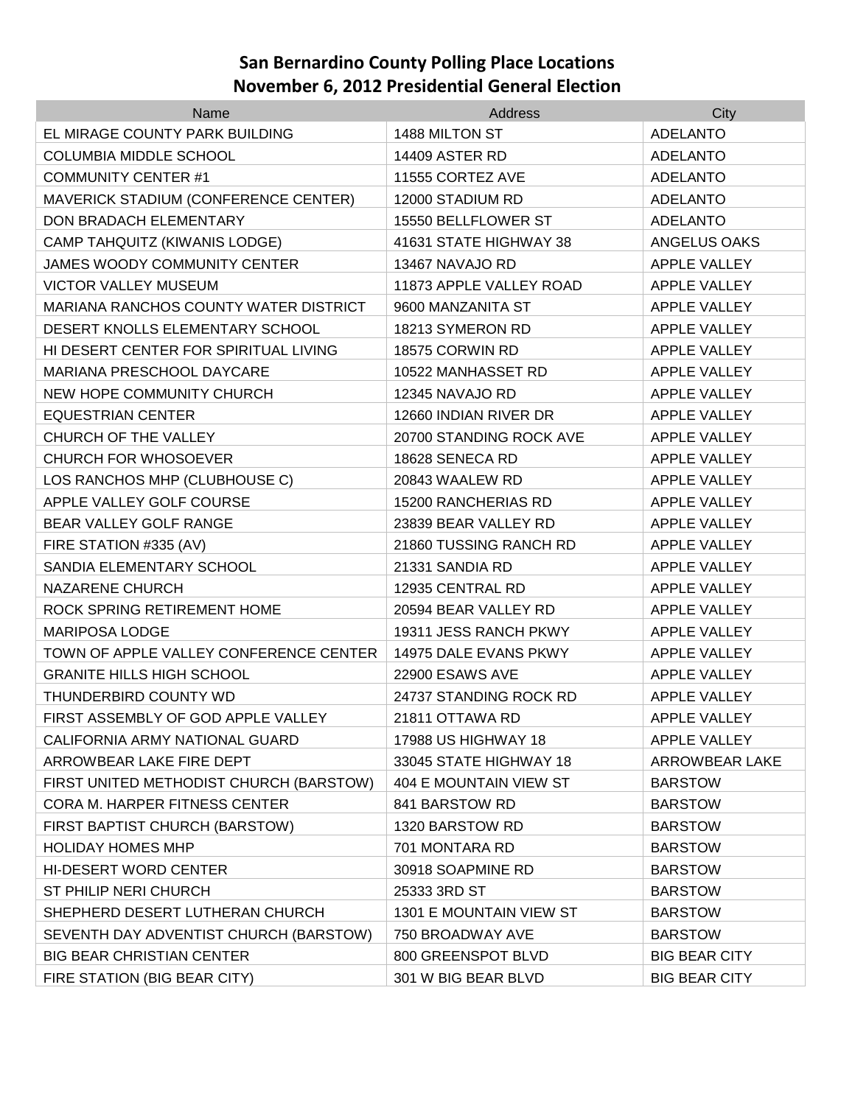| Name                                    | Address                 | City                  |
|-----------------------------------------|-------------------------|-----------------------|
| EL MIRAGE COUNTY PARK BUILDING          | 1488 MILTON ST          | <b>ADELANTO</b>       |
| <b>COLUMBIA MIDDLE SCHOOL</b>           | <b>14409 ASTER RD</b>   | <b>ADELANTO</b>       |
| <b>COMMUNITY CENTER #1</b>              | 11555 CORTEZ AVE        | <b>ADELANTO</b>       |
| MAVERICK STADIUM (CONFERENCE CENTER)    | 12000 STADIUM RD        | <b>ADELANTO</b>       |
| DON BRADACH ELEMENTARY                  | 15550 BELLFLOWER ST     | <b>ADELANTO</b>       |
| CAMP TAHQUITZ (KIWANIS LODGE)           | 41631 STATE HIGHWAY 38  | ANGELUS OAKS          |
| <b>JAMES WOODY COMMUNITY CENTER</b>     | 13467 NAVAJO RD         | <b>APPLE VALLEY</b>   |
| <b>VICTOR VALLEY MUSEUM</b>             | 11873 APPLE VALLEY ROAD | <b>APPLE VALLEY</b>   |
| MARIANA RANCHOS COUNTY WATER DISTRICT   | 9600 MANZANITA ST       | <b>APPLE VALLEY</b>   |
| DESERT KNOLLS ELEMENTARY SCHOOL         | 18213 SYMERON RD        | <b>APPLE VALLEY</b>   |
| HI DESERT CENTER FOR SPIRITUAL LIVING   | 18575 CORWIN RD         | <b>APPLE VALLEY</b>   |
| MARIANA PRESCHOOL DAYCARE               | 10522 MANHASSET RD      | <b>APPLE VALLEY</b>   |
| NEW HOPE COMMUNITY CHURCH               | 12345 NAVAJO RD         | <b>APPLE VALLEY</b>   |
| <b>EQUESTRIAN CENTER</b>                | 12660 INDIAN RIVER DR   | <b>APPLE VALLEY</b>   |
| CHURCH OF THE VALLEY                    | 20700 STANDING ROCK AVE | <b>APPLE VALLEY</b>   |
| <b>CHURCH FOR WHOSOEVER</b>             | 18628 SENECA RD         | <b>APPLE VALLEY</b>   |
| LOS RANCHOS MHP (CLUBHOUSE C)           | 20843 WAALEW RD         | <b>APPLE VALLEY</b>   |
| APPLE VALLEY GOLF COURSE                | 15200 RANCHERIAS RD     | APPLE VALLEY          |
| BEAR VALLEY GOLF RANGE                  | 23839 BEAR VALLEY RD    | <b>APPLE VALLEY</b>   |
| FIRE STATION #335 (AV)                  | 21860 TUSSING RANCH RD  | <b>APPLE VALLEY</b>   |
| SANDIA ELEMENTARY SCHOOL                | 21331 SANDIA RD         | <b>APPLE VALLEY</b>   |
| <b>NAZARENE CHURCH</b>                  | 12935 CENTRAL RD        | <b>APPLE VALLEY</b>   |
| ROCK SPRING RETIREMENT HOME             | 20594 BEAR VALLEY RD    | <b>APPLE VALLEY</b>   |
| <b>MARIPOSA LODGE</b>                   | 19311 JESS RANCH PKWY   | <b>APPLE VALLEY</b>   |
| TOWN OF APPLE VALLEY CONFERENCE CENTER  | 14975 DALE EVANS PKWY   | <b>APPLE VALLEY</b>   |
| <b>GRANITE HILLS HIGH SCHOOL</b>        | 22900 ESAWS AVE         | <b>APPLE VALLEY</b>   |
| THUNDERBIRD COUNTY WD                   | 24737 STANDING ROCK RD  | <b>APPLE VALLEY</b>   |
| FIRST ASSEMBLY OF GOD APPLE VALLEY      | 21811 OTTAWA RD         | <b>APPLE VALLEY</b>   |
| CALIFORNIA ARMY NATIONAL GUARD          | 17988 US HIGHWAY 18     | APPLE VALLEY          |
| ARROWBEAR LAKE FIRE DEPT                | 33045 STATE HIGHWAY 18  | <b>ARROWBEAR LAKE</b> |
| FIRST UNITED METHODIST CHURCH (BARSTOW) | 404 E MOUNTAIN VIEW ST  | <b>BARSTOW</b>        |
| CORA M. HARPER FITNESS CENTER           | 841 BARSTOW RD          | <b>BARSTOW</b>        |
| FIRST BAPTIST CHURCH (BARSTOW)          | 1320 BARSTOW RD         | <b>BARSTOW</b>        |
| <b>HOLIDAY HOMES MHP</b>                | 701 MONTARA RD          | <b>BARSTOW</b>        |
| <b>HI-DESERT WORD CENTER</b>            | 30918 SOAPMINE RD       | <b>BARSTOW</b>        |
| ST PHILIP NERI CHURCH                   | 25333 3RD ST            | <b>BARSTOW</b>        |
| SHEPHERD DESERT LUTHERAN CHURCH         | 1301 E MOUNTAIN VIEW ST | <b>BARSTOW</b>        |
| SEVENTH DAY ADVENTIST CHURCH (BARSTOW)  | 750 BROADWAY AVE        | <b>BARSTOW</b>        |
| <b>BIG BEAR CHRISTIAN CENTER</b>        | 800 GREENSPOT BLVD      | <b>BIG BEAR CITY</b>  |
| FIRE STATION (BIG BEAR CITY)            | 301 W BIG BEAR BLVD     | <b>BIG BEAR CITY</b>  |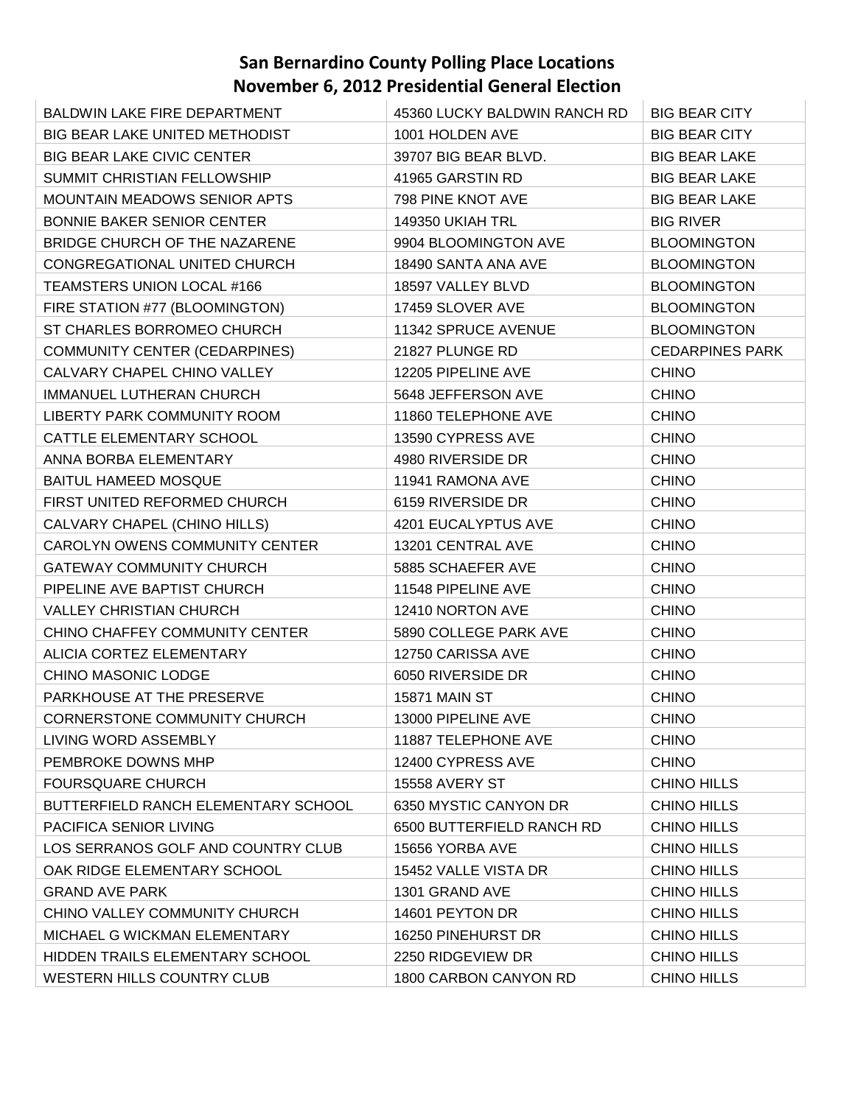| BALDWIN LAKE FIRE DEPARTMENT          | 45360 LUCKY BALDWIN RANCH RD | <b>BIG BEAR CITY</b>   |
|---------------------------------------|------------------------------|------------------------|
| <b>BIG BEAR LAKE UNITED METHODIST</b> | 1001 HOLDEN AVE              | <b>BIG BEAR CITY</b>   |
| <b>BIG BEAR LAKE CIVIC CENTER</b>     | 39707 BIG BEAR BLVD.         | <b>BIG BEAR LAKE</b>   |
| SUMMIT CHRISTIAN FELLOWSHIP           | 41965 GARSTIN RD             | <b>BIG BEAR LAKE</b>   |
| <b>MOUNTAIN MEADOWS SENIOR APTS</b>   | 798 PINE KNOT AVE            | <b>BIG BEAR LAKE</b>   |
| <b>BONNIE BAKER SENIOR CENTER</b>     | 149350 UKIAH TRL             | <b>BIG RIVER</b>       |
| BRIDGE CHURCH OF THE NAZARENE         | 9904 BLOOMINGTON AVE         | <b>BLOOMINGTON</b>     |
| CONGREGATIONAL UNITED CHURCH          | 18490 SANTA ANA AVE          | <b>BLOOMINGTON</b>     |
| TEAMSTERS UNION LOCAL #166            | 18597 VALLEY BLVD            | <b>BLOOMINGTON</b>     |
| FIRE STATION #77 (BLOOMINGTON)        | 17459 SLOVER AVE             | <b>BLOOMINGTON</b>     |
| ST CHARLES BORROMEO CHURCH            | 11342 SPRUCE AVENUE          | <b>BLOOMINGTON</b>     |
| <b>COMMUNITY CENTER (CEDARPINES)</b>  | 21827 PLUNGE RD              | <b>CEDARPINES PARK</b> |
| CALVARY CHAPEL CHINO VALLEY           | 12205 PIPELINE AVE           | <b>CHINO</b>           |
| IMMANUEL LUTHERAN CHURCH              | 5648 JEFFERSON AVE           | <b>CHINO</b>           |
| LIBERTY PARK COMMUNITY ROOM           | 11860 TELEPHONE AVE          | <b>CHINO</b>           |
| CATTLE ELEMENTARY SCHOOL              | 13590 CYPRESS AVE            | <b>CHINO</b>           |
| ANNA BORBA ELEMENTARY                 | 4980 RIVERSIDE DR            | <b>CHINO</b>           |
| <b>BAITUL HAMEED MOSQUE</b>           | 11941 RAMONA AVE             | <b>CHINO</b>           |
| FIRST UNITED REFORMED CHURCH          | 6159 RIVERSIDE DR            | <b>CHINO</b>           |
| CALVARY CHAPEL (CHINO HILLS)          | 4201 EUCALYPTUS AVE          | <b>CHINO</b>           |
| CAROLYN OWENS COMMUNITY CENTER        | 13201 CENTRAL AVE            | <b>CHINO</b>           |
| <b>GATEWAY COMMUNITY CHURCH</b>       | 5885 SCHAEFER AVE            | <b>CHINO</b>           |
| PIPELINE AVE BAPTIST CHURCH           | 11548 PIPELINE AVE           | <b>CHINO</b>           |
| <b>VALLEY CHRISTIAN CHURCH</b>        | 12410 NORTON AVE             | <b>CHINO</b>           |
| CHINO CHAFFEY COMMUNITY CENTER        | 5890 COLLEGE PARK AVE        | <b>CHINO</b>           |
| ALICIA CORTEZ ELEMENTARY              | 12750 CARISSA AVE            | <b>CHINO</b>           |
| CHINO MASONIC LODGE                   | 6050 RIVERSIDE DR            | <b>CHINO</b>           |
| PARKHOUSE AT THE PRESERVE             | <b>15871 MAIN ST</b>         | <b>CHINO</b>           |
| CORNERSTONE COMMUNITY CHURCH          | 13000 PIPELINE AVE           | <b>CHINO</b>           |
| LIVING WORD ASSEMBLY                  | 11887 TELEPHONE AVE          | <b>CHINO</b>           |
| PEMBROKE DOWNS MHP                    | 12400 CYPRESS AVE            | <b>CHINO</b>           |
| <b>FOURSQUARE CHURCH</b>              | <b>15558 AVERY ST</b>        | CHINO HILLS            |
| BUTTERFIELD RANCH ELEMENTARY SCHOOL   | 6350 MYSTIC CANYON DR        | <b>CHINO HILLS</b>     |
| PACIFICA SENIOR LIVING                | 6500 BUTTERFIELD RANCH RD    | <b>CHINO HILLS</b>     |
| LOS SERRANOS GOLF AND COUNTRY CLUB    | 15656 YORBA AVE              | <b>CHINO HILLS</b>     |
| OAK RIDGE ELEMENTARY SCHOOL           | 15452 VALLE VISTA DR         | <b>CHINO HILLS</b>     |
| <b>GRAND AVE PARK</b>                 | 1301 GRAND AVE               | <b>CHINO HILLS</b>     |
| CHINO VALLEY COMMUNITY CHURCH         | 14601 PEYTON DR              | <b>CHINO HILLS</b>     |
| MICHAEL G WICKMAN ELEMENTARY          | 16250 PINEHURST DR           | <b>CHINO HILLS</b>     |
| HIDDEN TRAILS ELEMENTARY SCHOOL       | 2250 RIDGEVIEW DR            | CHINO HILLS            |
| WESTERN HILLS COUNTRY CLUB            | 1800 CARBON CANYON RD        | <b>CHINO HILLS</b>     |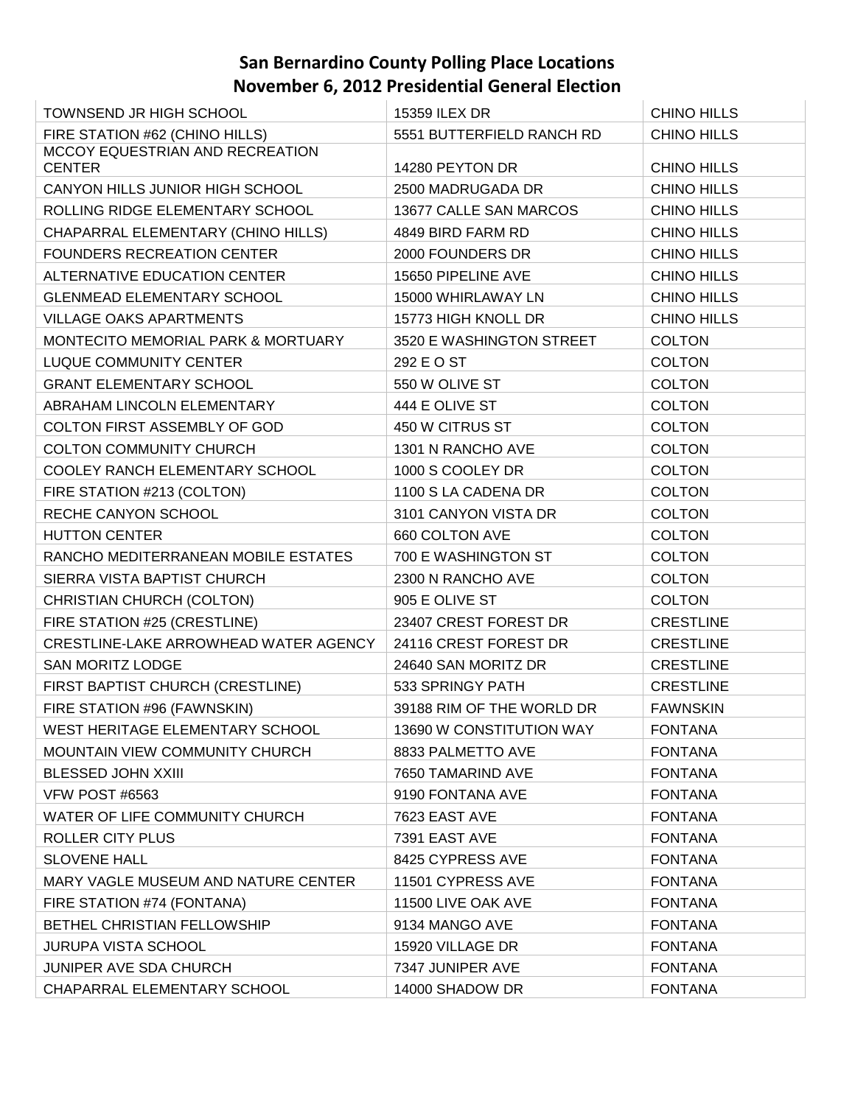| <b>TOWNSEND JR HIGH SCHOOL</b>        | 15359 ILEX DR             | <b>CHINO HILLS</b> |
|---------------------------------------|---------------------------|--------------------|
| FIRE STATION #62 (CHINO HILLS)        | 5551 BUTTERFIELD RANCH RD | <b>CHINO HILLS</b> |
| MCCOY EQUESTRIAN AND RECREATION       |                           |                    |
| <b>CENTER</b>                         | 14280 PEYTON DR           | <b>CHINO HILLS</b> |
| CANYON HILLS JUNIOR HIGH SCHOOL       | 2500 MADRUGADA DR         | <b>CHINO HILLS</b> |
| ROLLING RIDGE ELEMENTARY SCHOOL       | 13677 CALLE SAN MARCOS    | <b>CHINO HILLS</b> |
| CHAPARRAL ELEMENTARY (CHINO HILLS)    | 4849 BIRD FARM RD         | <b>CHINO HILLS</b> |
| <b>FOUNDERS RECREATION CENTER</b>     | 2000 FOUNDERS DR          | <b>CHINO HILLS</b> |
| ALTERNATIVE EDUCATION CENTER          | 15650 PIPELINE AVE        | <b>CHINO HILLS</b> |
| <b>GLENMEAD ELEMENTARY SCHOOL</b>     | 15000 WHIRLAWAY LN        | <b>CHINO HILLS</b> |
| <b>VILLAGE OAKS APARTMENTS</b>        | 15773 HIGH KNOLL DR       | <b>CHINO HILLS</b> |
| MONTECITO MEMORIAL PARK & MORTUARY    | 3520 E WASHINGTON STREET  | <b>COLTON</b>      |
| <b>LUQUE COMMUNITY CENTER</b>         | 292 E O ST                | <b>COLTON</b>      |
| <b>GRANT ELEMENTARY SCHOOL</b>        | 550 W OLIVE ST            | <b>COLTON</b>      |
| ABRAHAM LINCOLN ELEMENTARY            | 444 E OLIVE ST            | <b>COLTON</b>      |
| <b>COLTON FIRST ASSEMBLY OF GOD</b>   | 450 W CITRUS ST           | <b>COLTON</b>      |
| <b>COLTON COMMUNITY CHURCH</b>        | 1301 N RANCHO AVE         | <b>COLTON</b>      |
| COOLEY RANCH ELEMENTARY SCHOOL        | 1000 S COOLEY DR          | <b>COLTON</b>      |
| FIRE STATION #213 (COLTON)            | 1100 S LA CADENA DR       | <b>COLTON</b>      |
| RECHE CANYON SCHOOL                   | 3101 CANYON VISTA DR      | <b>COLTON</b>      |
| <b>HUTTON CENTER</b>                  | 660 COLTON AVE            | <b>COLTON</b>      |
| RANCHO MEDITERRANEAN MOBILE ESTATES   | 700 E WASHINGTON ST       | <b>COLTON</b>      |
| SIERRA VISTA BAPTIST CHURCH           | 2300 N RANCHO AVE         | <b>COLTON</b>      |
| CHRISTIAN CHURCH (COLTON)             | 905 E OLIVE ST            | <b>COLTON</b>      |
| FIRE STATION #25 (CRESTLINE)          | 23407 CREST FOREST DR     | <b>CRESTLINE</b>   |
| CRESTLINE-LAKE ARROWHEAD WATER AGENCY | 24116 CREST FOREST DR     | <b>CRESTLINE</b>   |
| SAN MORITZ LODGE                      | 24640 SAN MORITZ DR       | <b>CRESTLINE</b>   |
| FIRST BAPTIST CHURCH (CRESTLINE)      | 533 SPRINGY PATH          | <b>CRESTLINE</b>   |
| FIRE STATION #96 (FAWNSKIN)           | 39188 RIM OF THE WORLD DR | <b>FAWNSKIN</b>    |
| WEST HERITAGE ELEMENTARY SCHOOL       | 13690 W CONSTITUTION WAY  | <b>FONTANA</b>     |
| MOUNTAIN VIEW COMMUNITY CHURCH        | 8833 PALMETTO AVE         | <b>FONTANA</b>     |
| <b>BLESSED JOHN XXIII</b>             | 7650 TAMARIND AVE         | <b>FONTANA</b>     |
| VFW POST #6563                        | 9190 FONTANA AVE          | <b>FONTANA</b>     |
| WATER OF LIFE COMMUNITY CHURCH        | 7623 EAST AVE             | <b>FONTANA</b>     |
| ROLLER CITY PLUS                      | 7391 EAST AVE             | <b>FONTANA</b>     |
| <b>SLOVENE HALL</b>                   | 8425 CYPRESS AVE          | <b>FONTANA</b>     |
| MARY VAGLE MUSEUM AND NATURE CENTER   | 11501 CYPRESS AVE         | <b>FONTANA</b>     |
| FIRE STATION #74 (FONTANA)            | 11500 LIVE OAK AVE        | <b>FONTANA</b>     |
| BETHEL CHRISTIAN FELLOWSHIP           | 9134 MANGO AVE            | <b>FONTANA</b>     |
| <b>JURUPA VISTA SCHOOL</b>            | 15920 VILLAGE DR          | <b>FONTANA</b>     |
| JUNIPER AVE SDA CHURCH                | 7347 JUNIPER AVE          | <b>FONTANA</b>     |
| CHAPARRAL ELEMENTARY SCHOOL           | 14000 SHADOW DR           | <b>FONTANA</b>     |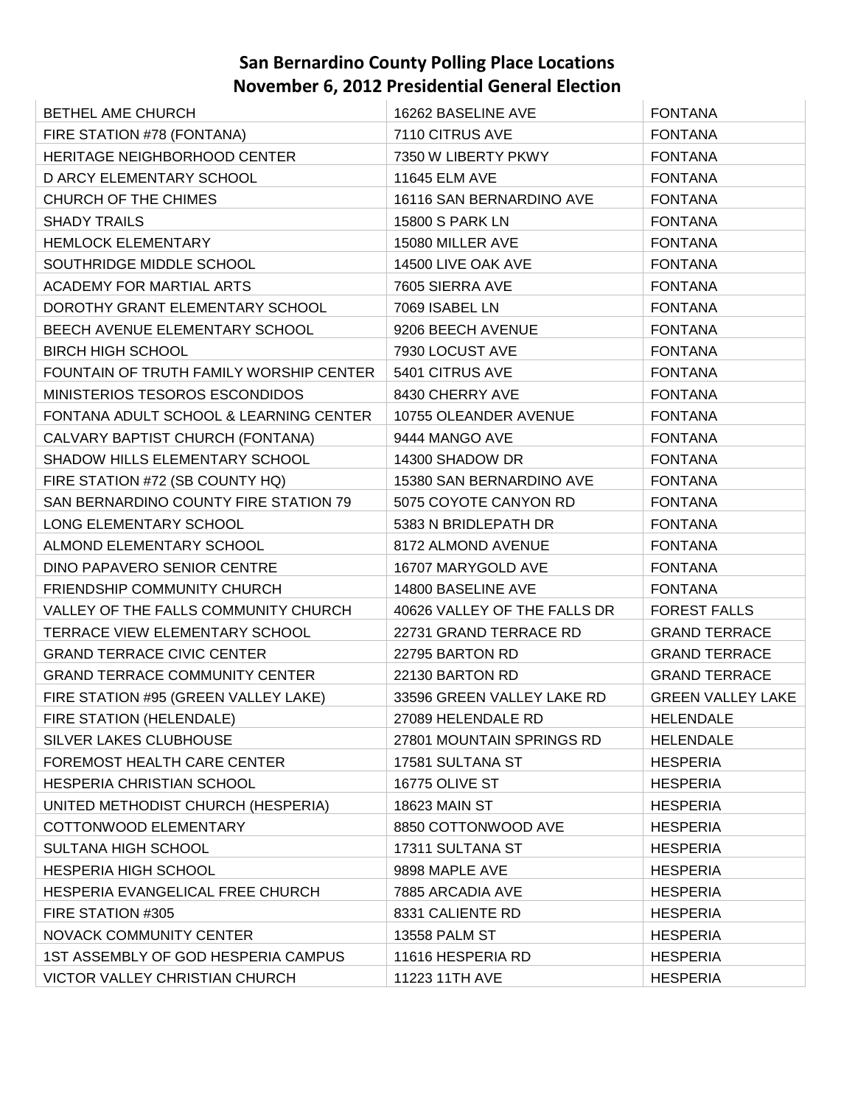| BETHEL AME CHURCH                       | 16262 BASELINE AVE           | <b>FONTANA</b>           |
|-----------------------------------------|------------------------------|--------------------------|
| FIRE STATION #78 (FONTANA)              | 7110 CITRUS AVE              | <b>FONTANA</b>           |
| HERITAGE NEIGHBORHOOD CENTER            | 7350 W LIBERTY PKWY          | <b>FONTANA</b>           |
| D ARCY ELEMENTARY SCHOOL                | 11645 ELM AVE                | <b>FONTANA</b>           |
| CHURCH OF THE CHIMES                    | 16116 SAN BERNARDINO AVE     | <b>FONTANA</b>           |
| <b>SHADY TRAILS</b>                     | 15800 S PARK LN              | <b>FONTANA</b>           |
| <b>HEMLOCK ELEMENTARY</b>               | 15080 MILLER AVE             | <b>FONTANA</b>           |
| SOUTHRIDGE MIDDLE SCHOOL                | 14500 LIVE OAK AVE           | <b>FONTANA</b>           |
| ACADEMY FOR MARTIAL ARTS                | 7605 SIERRA AVE              | <b>FONTANA</b>           |
| DOROTHY GRANT ELEMENTARY SCHOOL         | 7069 ISABEL LN               | <b>FONTANA</b>           |
| BEECH AVENUE ELEMENTARY SCHOOL          | 9206 BEECH AVENUE            | <b>FONTANA</b>           |
| <b>BIRCH HIGH SCHOOL</b>                | 7930 LOCUST AVE              | <b>FONTANA</b>           |
| FOUNTAIN OF TRUTH FAMILY WORSHIP CENTER | 5401 CITRUS AVE              | <b>FONTANA</b>           |
| MINISTERIOS TESOROS ESCONDIDOS          | 8430 CHERRY AVE              | <b>FONTANA</b>           |
| FONTANA ADULT SCHOOL & LEARNING CENTER  | 10755 OLEANDER AVENUE        | <b>FONTANA</b>           |
| CALVARY BAPTIST CHURCH (FONTANA)        | 9444 MANGO AVE               | <b>FONTANA</b>           |
| SHADOW HILLS ELEMENTARY SCHOOL          | 14300 SHADOW DR              | <b>FONTANA</b>           |
| FIRE STATION #72 (SB COUNTY HQ)         | 15380 SAN BERNARDINO AVE     | <b>FONTANA</b>           |
| SAN BERNARDINO COUNTY FIRE STATION 79   | 5075 COYOTE CANYON RD        | <b>FONTANA</b>           |
| LONG ELEMENTARY SCHOOL                  | 5383 N BRIDLEPATH DR         | <b>FONTANA</b>           |
| ALMOND ELEMENTARY SCHOOL                | 8172 ALMOND AVENUE           | <b>FONTANA</b>           |
| DINO PAPAVERO SENIOR CENTRE             | 16707 MARYGOLD AVE           | <b>FONTANA</b>           |
| FRIENDSHIP COMMUNITY CHURCH             | 14800 BASELINE AVE           | <b>FONTANA</b>           |
| VALLEY OF THE FALLS COMMUNITY CHURCH    | 40626 VALLEY OF THE FALLS DR | <b>FOREST FALLS</b>      |
| TERRACE VIEW ELEMENTARY SCHOOL          | 22731 GRAND TERRACE RD       | <b>GRAND TERRACE</b>     |
| <b>GRAND TERRACE CIVIC CENTER</b>       | 22795 BARTON RD              | <b>GRAND TERRACE</b>     |
| <b>GRAND TERRACE COMMUNITY CENTER</b>   | 22130 BARTON RD              | <b>GRAND TERRACE</b>     |
| FIRE STATION #95 (GREEN VALLEY LAKE)    | 33596 GREEN VALLEY LAKE RD   | <b>GREEN VALLEY LAKE</b> |
| FIRE STATION (HELENDALE)                | 27089 HELENDALE RD           | <b>HELENDALE</b>         |
| SILVER LAKES CLUBHOUSE                  | 27801 MOUNTAIN SPRINGS RD    | <b>HELENDALE</b>         |
| FOREMOST HEALTH CARE CENTER             | 17581 SULTANA ST             | <b>HESPERIA</b>          |
| HESPERIA CHRISTIAN SCHOOL               | <b>16775 OLIVE ST</b>        | <b>HESPERIA</b>          |
| UNITED METHODIST CHURCH (HESPERIA)      | <b>18623 MAIN ST</b>         | <b>HESPERIA</b>          |
| COTTONWOOD ELEMENTARY                   | 8850 COTTONWOOD AVE          | <b>HESPERIA</b>          |
| SULTANA HIGH SCHOOL                     | 17311 SULTANA ST             | <b>HESPERIA</b>          |
| <b>HESPERIA HIGH SCHOOL</b>             | 9898 MAPLE AVE               | <b>HESPERIA</b>          |
| HESPERIA EVANGELICAL FREE CHURCH        | 7885 ARCADIA AVE             | <b>HESPERIA</b>          |
| FIRE STATION #305                       | 8331 CALIENTE RD             | <b>HESPERIA</b>          |
| NOVACK COMMUNITY CENTER                 | 13558 PALM ST                | <b>HESPERIA</b>          |
| 1ST ASSEMBLY OF GOD HESPERIA CAMPUS     | 11616 HESPERIA RD            | <b>HESPERIA</b>          |
| <b>VICTOR VALLEY CHRISTIAN CHURCH</b>   | 11223 11TH AVE               | <b>HESPERIA</b>          |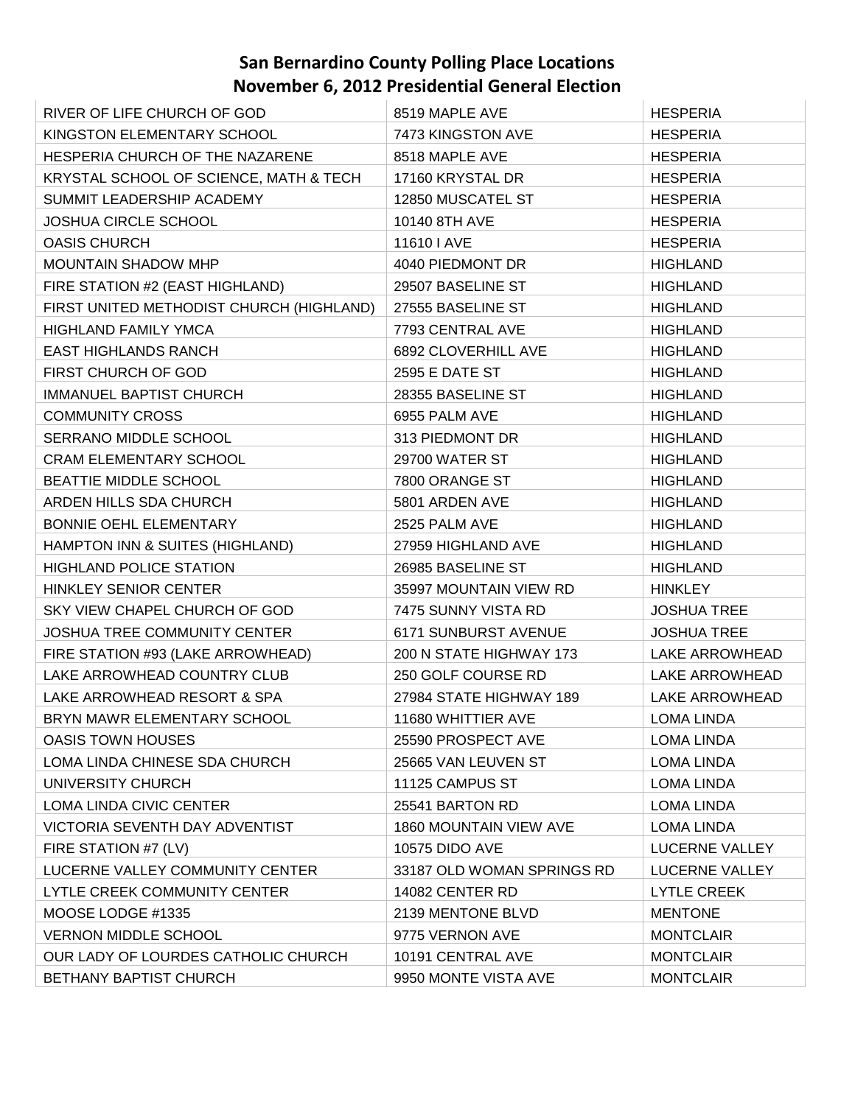| RIVER OF LIFE CHURCH OF GOD              | 8519 MAPLE AVE             | <b>HESPERIA</b>       |
|------------------------------------------|----------------------------|-----------------------|
| KINGSTON ELEMENTARY SCHOOL               | 7473 KINGSTON AVE          | <b>HESPERIA</b>       |
| HESPERIA CHURCH OF THE NAZARENE          | 8518 MAPLE AVE             | <b>HESPERIA</b>       |
| KRYSTAL SCHOOL OF SCIENCE, MATH & TECH   | 17160 KRYSTAL DR           | <b>HESPERIA</b>       |
| SUMMIT LEADERSHIP ACADEMY                | 12850 MUSCATEL ST          | <b>HESPERIA</b>       |
| <b>JOSHUA CIRCLE SCHOOL</b>              | 10140 8TH AVE              | <b>HESPERIA</b>       |
| <b>OASIS CHURCH</b>                      | 11610   AVE                | <b>HESPERIA</b>       |
| <b>MOUNTAIN SHADOW MHP</b>               | 4040 PIEDMONT DR           | <b>HIGHLAND</b>       |
| FIRE STATION #2 (EAST HIGHLAND)          | 29507 BASELINE ST          | <b>HIGHLAND</b>       |
| FIRST UNITED METHODIST CHURCH (HIGHLAND) | 27555 BASELINE ST          | <b>HIGHLAND</b>       |
| <b>HIGHLAND FAMILY YMCA</b>              | 7793 CENTRAL AVE           | <b>HIGHLAND</b>       |
| <b>EAST HIGHLANDS RANCH</b>              | 6892 CLOVERHILL AVE        | <b>HIGHLAND</b>       |
| FIRST CHURCH OF GOD                      | 2595 E DATE ST             | <b>HIGHLAND</b>       |
| <b>IMMANUEL BAPTIST CHURCH</b>           | 28355 BASELINE ST          | <b>HIGHLAND</b>       |
| <b>COMMUNITY CROSS</b>                   | 6955 PALM AVE              | <b>HIGHLAND</b>       |
| SERRANO MIDDLE SCHOOL                    | 313 PIEDMONT DR            | <b>HIGHLAND</b>       |
| <b>CRAM ELEMENTARY SCHOOL</b>            | 29700 WATER ST             | <b>HIGHLAND</b>       |
| BEATTIE MIDDLE SCHOOL                    | 7800 ORANGE ST             | <b>HIGHLAND</b>       |
| ARDEN HILLS SDA CHURCH                   | 5801 ARDEN AVE             | <b>HIGHLAND</b>       |
| BONNIE OEHL ELEMENTARY                   | 2525 PALM AVE              | <b>HIGHLAND</b>       |
| HAMPTON INN & SUITES (HIGHLAND)          | 27959 HIGHLAND AVE         | <b>HIGHLAND</b>       |
| <b>HIGHLAND POLICE STATION</b>           | 26985 BASELINE ST          | <b>HIGHLAND</b>       |
| <b>HINKLEY SENIOR CENTER</b>             | 35997 MOUNTAIN VIEW RD     | <b>HINKLEY</b>        |
| SKY VIEW CHAPEL CHURCH OF GOD            | 7475 SUNNY VISTA RD        | <b>JOSHUA TREE</b>    |
| <b>JOSHUA TREE COMMUNITY CENTER</b>      | 6171 SUNBURST AVENUE       | <b>JOSHUA TREE</b>    |
| FIRE STATION #93 (LAKE ARROWHEAD)        | 200 N STATE HIGHWAY 173    | LAKE ARROWHEAD        |
| LAKE ARROWHEAD COUNTRY CLUB              | 250 GOLF COURSE RD         | LAKE ARROWHEAD        |
| LAKE ARROWHEAD RESORT & SPA              | 27984 STATE HIGHWAY 189    | LAKE ARROWHEAD        |
| BRYN MAWR ELEMENTARY SCHOOL              | 11680 WHITTIER AVE         | <b>LOMA LINDA</b>     |
| <b>OASIS TOWN HOUSES</b>                 | 25590 PROSPECT AVE         | <b>LOMA LINDA</b>     |
| LOMA LINDA CHINESE SDA CHURCH            | 25665 VAN LEUVEN ST        | <b>LOMA LINDA</b>     |
| UNIVERSITY CHURCH                        | 11125 CAMPUS ST            | <b>LOMA LINDA</b>     |
| LOMA LINDA CIVIC CENTER                  | 25541 BARTON RD            | <b>LOMA LINDA</b>     |
| VICTORIA SEVENTH DAY ADVENTIST           | 1860 MOUNTAIN VIEW AVE     | LOMA LINDA            |
| FIRE STATION #7 (LV)                     | <b>10575 DIDO AVE</b>      | <b>LUCERNE VALLEY</b> |
| LUCERNE VALLEY COMMUNITY CENTER          | 33187 OLD WOMAN SPRINGS RD | LUCERNE VALLEY        |
| LYTLE CREEK COMMUNITY CENTER             | 14082 CENTER RD            | <b>LYTLE CREEK</b>    |
| MOOSE LODGE #1335                        | 2139 MENTONE BLVD          | <b>MENTONE</b>        |
| <b>VERNON MIDDLE SCHOOL</b>              | 9775 VERNON AVE            | <b>MONTCLAIR</b>      |
| OUR LADY OF LOURDES CATHOLIC CHURCH      | 10191 CENTRAL AVE          | <b>MONTCLAIR</b>      |
| BETHANY BAPTIST CHURCH                   | 9950 MONTE VISTA AVE       | <b>MONTCLAIR</b>      |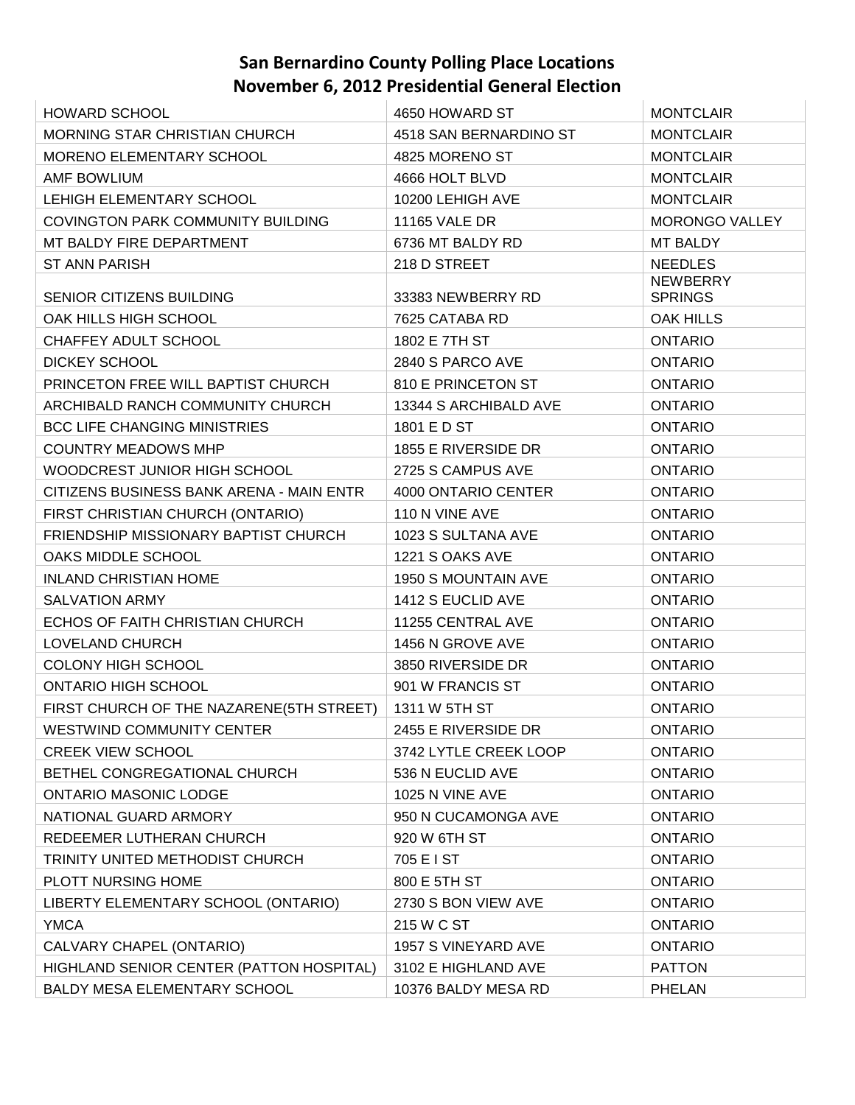| <b>HOWARD SCHOOL</b>                     | 4650 HOWARD ST             | <b>MONTCLAIR</b>                  |
|------------------------------------------|----------------------------|-----------------------------------|
| MORNING STAR CHRISTIAN CHURCH            | 4518 SAN BERNARDINO ST     | <b>MONTCLAIR</b>                  |
| MORENO ELEMENTARY SCHOOL                 | 4825 MORENO ST             | <b>MONTCLAIR</b>                  |
| AMF BOWLIUM                              | 4666 HOLT BLVD             | <b>MONTCLAIR</b>                  |
| LEHIGH ELEMENTARY SCHOOL                 | 10200 LEHIGH AVE           | <b>MONTCLAIR</b>                  |
| COVINGTON PARK COMMUNITY BUILDING        | <b>11165 VALE DR</b>       | MORONGO VALLEY                    |
| MT BALDY FIRE DEPARTMENT                 | 6736 MT BALDY RD           | MT BALDY                          |
| <b>ST ANN PARISH</b>                     | 218 D STREET               | <b>NEEDLES</b>                    |
| <b>SENIOR CITIZENS BUILDING</b>          | 33383 NEWBERRY RD          | <b>NEWBERRY</b><br><b>SPRINGS</b> |
| OAK HILLS HIGH SCHOOL                    | 7625 CATABA RD             | <b>OAK HILLS</b>                  |
| CHAFFEY ADULT SCHOOL                     | 1802 E 7TH ST              | <b>ONTARIO</b>                    |
| <b>DICKEY SCHOOL</b>                     | 2840 S PARCO AVE           | ONTARIO                           |
| PRINCETON FREE WILL BAPTIST CHURCH       | 810 E PRINCETON ST         | <b>ONTARIO</b>                    |
| ARCHIBALD RANCH COMMUNITY CHURCH         | 13344 S ARCHIBALD AVE      | <b>ONTARIO</b>                    |
| <b>BCC LIFE CHANGING MINISTRIES</b>      | 1801 E D ST                | ONTARIO                           |
| <b>COUNTRY MEADOWS MHP</b>               | 1855 E RIVERSIDE DR        | <b>ONTARIO</b>                    |
| WOODCREST JUNIOR HIGH SCHOOL             | 2725 S CAMPUS AVE          | <b>ONTARIO</b>                    |
| CITIZENS BUSINESS BANK ARENA - MAIN ENTR | 4000 ONTARIO CENTER        | <b>ONTARIO</b>                    |
| FIRST CHRISTIAN CHURCH (ONTARIO)         | 110 N VINE AVE             | ONTARIO                           |
| FRIENDSHIP MISSIONARY BAPTIST CHURCH     | 1023 S SULTANA AVE         | <b>ONTARIO</b>                    |
| OAKS MIDDLE SCHOOL                       | 1221 S OAKS AVE            | <b>ONTARIO</b>                    |
| <b>INLAND CHRISTIAN HOME</b>             | <b>1950 S MOUNTAIN AVE</b> | ONTARIO                           |
| <b>SALVATION ARMY</b>                    | 1412 S EUCLID AVE          | <b>ONTARIO</b>                    |
| ECHOS OF FAITH CHRISTIAN CHURCH          | 11255 CENTRAL AVE          | ONTARIO                           |
| LOVELAND CHURCH                          | 1456 N GROVE AVE           | <b>ONTARIO</b>                    |
| <b>COLONY HIGH SCHOOL</b>                | 3850 RIVERSIDE DR          | <b>ONTARIO</b>                    |
| ONTARIO HIGH SCHOOL                      | 901 W FRANCIS ST           | ONTARIO                           |
| FIRST CHURCH OF THE NAZARENE(5TH STREET) | 1311 W 5TH ST              | <b>ONTARIO</b>                    |
| <b>WESTWIND COMMUNITY CENTER</b>         | 2455 E RIVERSIDE DR        | <b>ONTARIO</b>                    |
| <b>CREEK VIEW SCHOOL</b>                 | 3742 LYTLE CREEK LOOP      | <b>ONTARIO</b>                    |
| BETHEL CONGREGATIONAL CHURCH             | 536 N EUCLID AVE           | <b>ONTARIO</b>                    |
| <b>ONTARIO MASONIC LODGE</b>             | 1025 N VINE AVE            | <b>ONTARIO</b>                    |
| NATIONAL GUARD ARMORY                    | 950 N CUCAMONGA AVE        | <b>ONTARIO</b>                    |
| REDEEMER LUTHERAN CHURCH                 | 920 W 6TH ST               | <b>ONTARIO</b>                    |
| TRINITY UNITED METHODIST CHURCH          | 705 E I ST                 | <b>ONTARIO</b>                    |
| PLOTT NURSING HOME                       | 800 E 5TH ST               | <b>ONTARIO</b>                    |
| LIBERTY ELEMENTARY SCHOOL (ONTARIO)      | 2730 S BON VIEW AVE        | <b>ONTARIO</b>                    |
| <b>YMCA</b>                              | 215 W C ST                 | <b>ONTARIO</b>                    |
| CALVARY CHAPEL (ONTARIO)                 | 1957 S VINEYARD AVE        | <b>ONTARIO</b>                    |
| HIGHLAND SENIOR CENTER (PATTON HOSPITAL) | 3102 E HIGHLAND AVE        | <b>PATTON</b>                     |
| BALDY MESA ELEMENTARY SCHOOL             | 10376 BALDY MESA RD        | <b>PHELAN</b>                     |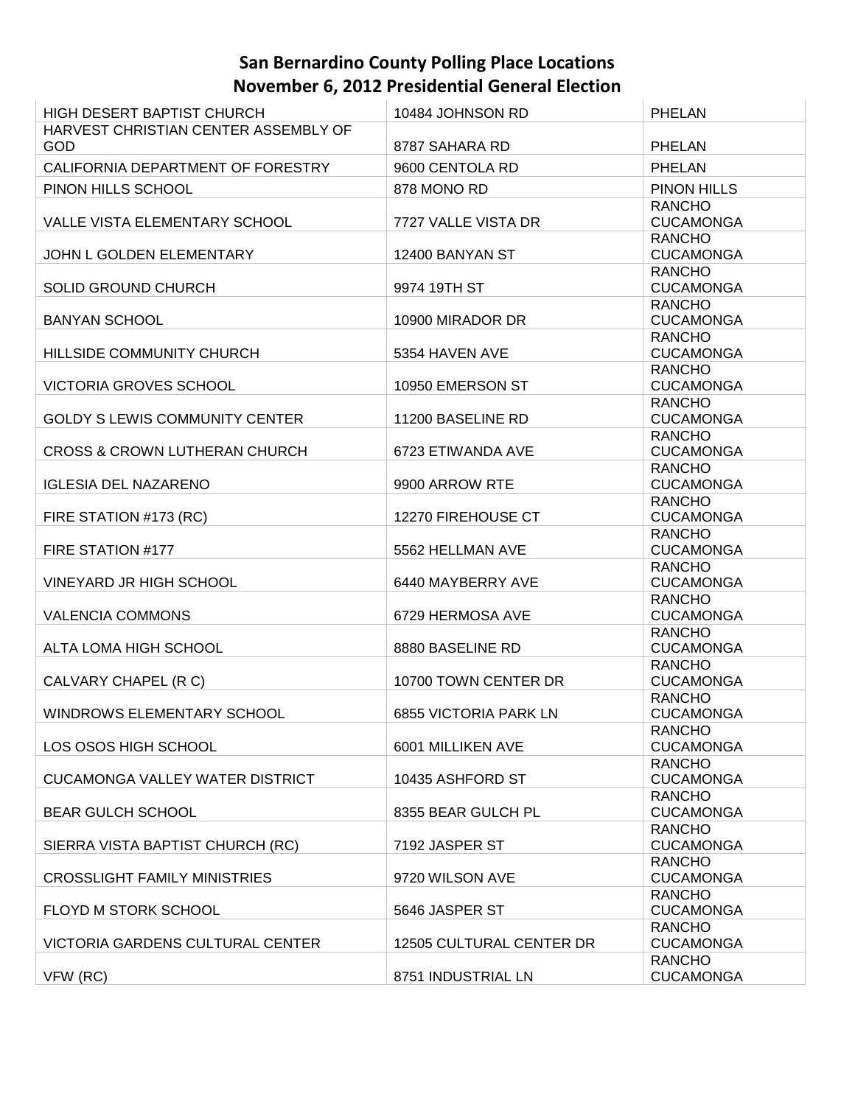| <b>HIGH DESERT BAPTIST CHURCH</b>           | 10484 JOHNSON RD         | <b>PHELAN</b>                     |
|---------------------------------------------|--------------------------|-----------------------------------|
| HARVEST CHRISTIAN CENTER ASSEMBLY OF<br>GOD | 8787 SAHARA RD           | <b>PHELAN</b>                     |
| CALIFORNIA DEPARTMENT OF FORESTRY           | 9600 CENTOLA RD          | <b>PHELAN</b>                     |
| PINON HILLS SCHOOL                          | 878 MONO RD              | PINON HILLS                       |
|                                             |                          | <b>RANCHO</b>                     |
| VALLE VISTA ELEMENTARY SCHOOL               | 7727 VALLE VISTA DR      | <b>CUCAMONGA</b>                  |
|                                             |                          | <b>RANCHO</b>                     |
| JOHN L GOLDEN ELEMENTARY                    | 12400 BANYAN ST          | <b>CUCAMONGA</b>                  |
|                                             |                          | <b>RANCHO</b>                     |
| SOLID GROUND CHURCH                         | 9974 19TH ST             | <b>CUCAMONGA</b>                  |
|                                             |                          | <b>RANCHO</b>                     |
| <b>BANYAN SCHOOL</b>                        | 10900 MIRADOR DR         | <b>CUCAMONGA</b>                  |
|                                             |                          | <b>RANCHO</b>                     |
| HILLSIDE COMMUNITY CHURCH                   | 5354 HAVEN AVE           | <b>CUCAMONGA</b>                  |
|                                             |                          | <b>RANCHO</b>                     |
| <b>VICTORIA GROVES SCHOOL</b>               | 10950 EMERSON ST         | <b>CUCAMONGA</b>                  |
|                                             |                          | <b>RANCHO</b>                     |
| <b>GOLDY S LEWIS COMMUNITY CENTER</b>       | 11200 BASELINE RD        | <b>CUCAMONGA</b>                  |
|                                             |                          | <b>RANCHO</b>                     |
| <b>CROSS &amp; CROWN LUTHERAN CHURCH</b>    | 6723 ETIWANDA AVE        | <b>CUCAMONGA</b>                  |
|                                             |                          | <b>RANCHO</b>                     |
| <b>IGLESIA DEL NAZARENO</b>                 | 9900 ARROW RTE           | <b>CUCAMONGA</b>                  |
|                                             |                          | <b>RANCHO</b>                     |
| FIRE STATION #173 (RC)                      | 12270 FIREHOUSE CT       | <b>CUCAMONGA</b>                  |
|                                             |                          | <b>RANCHO</b>                     |
| FIRE STATION #177                           | 5562 HELLMAN AVE         | <b>CUCAMONGA</b>                  |
|                                             |                          | <b>RANCHO</b>                     |
| VINEYARD JR HIGH SCHOOL                     | 6440 MAYBERRY AVE        | <b>CUCAMONGA</b><br><b>RANCHO</b> |
| <b>VALENCIA COMMONS</b>                     | 6729 HERMOSA AVE         | <b>CUCAMONGA</b>                  |
|                                             |                          | <b>RANCHO</b>                     |
| ALTA LOMA HIGH SCHOOL                       | 8880 BASELINE RD         | <b>CUCAMONGA</b>                  |
|                                             |                          | <b>RANCHO</b>                     |
| CALVARY CHAPEL (R C)                        | 10700 TOWN CENTER DR     | <b>CUCAMONGA</b>                  |
|                                             |                          | <b>RANCHO</b>                     |
| <b>WINDROWS ELEMENTARY SCHOOL</b>           | 6855 VICTORIA PARK LN    | <b>CUCAMONGA</b>                  |
|                                             |                          | <b>RANCHO</b>                     |
| LOS OSOS HIGH SCHOOL                        | 6001 MILLIKEN AVE        | <b>CUCAMONGA</b>                  |
|                                             |                          | <b>RANCHO</b>                     |
| <b>CUCAMONGA VALLEY WATER DISTRICT</b>      | 10435 ASHFORD ST         | <b>CUCAMONGA</b>                  |
|                                             |                          | <b>RANCHO</b>                     |
| <b>BEAR GULCH SCHOOL</b>                    | 8355 BEAR GULCH PL       | <b>CUCAMONGA</b>                  |
|                                             |                          | <b>RANCHO</b>                     |
| SIERRA VISTA BAPTIST CHURCH (RC)            | 7192 JASPER ST           | <b>CUCAMONGA</b>                  |
|                                             |                          | <b>RANCHO</b>                     |
| <b>CROSSLIGHT FAMILY MINISTRIES</b>         | 9720 WILSON AVE          | <b>CUCAMONGA</b>                  |
|                                             |                          | <b>RANCHO</b>                     |
| FLOYD M STORK SCHOOL                        | 5646 JASPER ST           | <b>CUCAMONGA</b>                  |
| VICTORIA GARDENS CULTURAL CENTER            | 12505 CULTURAL CENTER DR | <b>RANCHO</b><br><b>CUCAMONGA</b> |
|                                             |                          | <b>RANCHO</b>                     |
| VFW (RC)                                    | 8751 INDUSTRIAL LN       | <b>CUCAMONGA</b>                  |
|                                             |                          |                                   |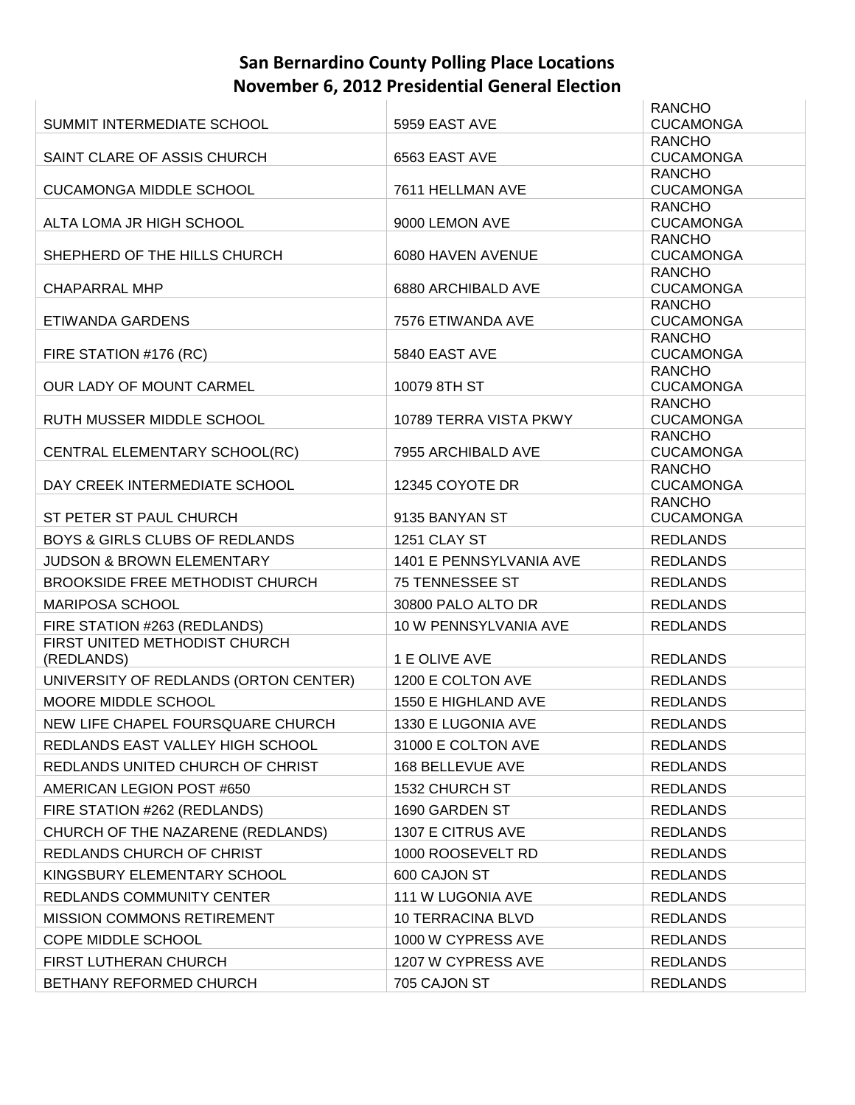|                                             |                          | <b>RANCHO</b>                     |
|---------------------------------------------|--------------------------|-----------------------------------|
| SUMMIT INTERMEDIATE SCHOOL                  | 5959 EAST AVE            | <b>CUCAMONGA</b>                  |
|                                             |                          | <b>RANCHO</b>                     |
| SAINT CLARE OF ASSIS CHURCH                 | 6563 EAST AVE            | <b>CUCAMONGA</b><br><b>RANCHO</b> |
| <b>CUCAMONGA MIDDLE SCHOOL</b>              | 7611 HELLMAN AVE         | <b>CUCAMONGA</b>                  |
|                                             |                          | <b>RANCHO</b>                     |
| ALTA LOMA JR HIGH SCHOOL                    | 9000 LEMON AVE           | <b>CUCAMONGA</b>                  |
|                                             |                          | <b>RANCHO</b>                     |
| SHEPHERD OF THE HILLS CHURCH                | 6080 HAVEN AVENUE        | <b>CUCAMONGA</b>                  |
| <b>CHAPARRAL MHP</b>                        | 6880 ARCHIBALD AVE       | <b>RANCHO</b><br><b>CUCAMONGA</b> |
|                                             |                          | <b>RANCHO</b>                     |
| ETIWANDA GARDENS                            | 7576 ETIWANDA AVE        | <b>CUCAMONGA</b>                  |
|                                             |                          | <b>RANCHO</b>                     |
| FIRE STATION #176 (RC)                      | 5840 EAST AVE            | <b>CUCAMONGA</b>                  |
| OUR LADY OF MOUNT CARMEL                    | 10079 8TH ST             | <b>RANCHO</b><br><b>CUCAMONGA</b> |
|                                             |                          | <b>RANCHO</b>                     |
| RUTH MUSSER MIDDLE SCHOOL                   | 10789 TERRA VISTA PKWY   | <b>CUCAMONGA</b>                  |
|                                             |                          | <b>RANCHO</b>                     |
| CENTRAL ELEMENTARY SCHOOL(RC)               | 7955 ARCHIBALD AVE       | <b>CUCAMONGA</b>                  |
|                                             | 12345 COYOTE DR          | <b>RANCHO</b>                     |
| DAY CREEK INTERMEDIATE SCHOOL               |                          | <b>CUCAMONGA</b><br><b>RANCHO</b> |
| ST PETER ST PAUL CHURCH                     | 9135 BANYAN ST           | <b>CUCAMONGA</b>                  |
| <b>BOYS &amp; GIRLS CLUBS OF REDLANDS</b>   | 1251 CLAY ST             | <b>REDLANDS</b>                   |
| <b>JUDSON &amp; BROWN ELEMENTARY</b>        | 1401 E PENNSYLVANIA AVE  | <b>REDLANDS</b>                   |
| <b>BROOKSIDE FREE METHODIST CHURCH</b>      | 75 TENNESSEE ST          | <b>REDLANDS</b>                   |
| <b>MARIPOSA SCHOOL</b>                      | 30800 PALO ALTO DR       | <b>REDLANDS</b>                   |
| FIRE STATION #263 (REDLANDS)                | 10 W PENNSYLVANIA AVE    | <b>REDLANDS</b>                   |
| FIRST UNITED METHODIST CHURCH<br>(REDLANDS) | 1 E OLIVE AVE            | <b>REDLANDS</b>                   |
| UNIVERSITY OF REDLANDS (ORTON CENTER)       | 1200 E COLTON AVE        | <b>REDLANDS</b>                   |
| MOORE MIDDLE SCHOOL                         | 1550 E HIGHLAND AVE      | <b>REDLANDS</b>                   |
| NEW LIFE CHAPEL FOURSQUARE CHURCH           | 1330 E LUGONIA AVE       | <b>REDLANDS</b>                   |
| REDLANDS EAST VALLEY HIGH SCHOOL            | 31000 E COLTON AVE       | <b>REDLANDS</b>                   |
| REDLANDS UNITED CHURCH OF CHRIST            | 168 BELLEVUE AVE         | <b>REDLANDS</b>                   |
| AMERICAN LEGION POST #650                   | 1532 CHURCH ST           | <b>REDLANDS</b>                   |
|                                             | 1690 GARDEN ST           | <b>REDLANDS</b>                   |
| FIRE STATION #262 (REDLANDS)                |                          |                                   |
| CHURCH OF THE NAZARENE (REDLANDS)           | 1307 E CITRUS AVE        | <b>REDLANDS</b>                   |
| REDLANDS CHURCH OF CHRIST                   | 1000 ROOSEVELT RD        | <b>REDLANDS</b>                   |
| KINGSBURY ELEMENTARY SCHOOL                 | 600 CAJON ST             | <b>REDLANDS</b>                   |
| <b>REDLANDS COMMUNITY CENTER</b>            | 111 W LUGONIA AVE        | <b>REDLANDS</b>                   |
| <b>MISSION COMMONS RETIREMENT</b>           | <b>10 TERRACINA BLVD</b> | <b>REDLANDS</b>                   |
| COPE MIDDLE SCHOOL                          | 1000 W CYPRESS AVE       | <b>REDLANDS</b>                   |
| FIRST LUTHERAN CHURCH                       | 1207 W CYPRESS AVE       | <b>REDLANDS</b>                   |
| BETHANY REFORMED CHURCH                     | 705 CAJON ST             | <b>REDLANDS</b>                   |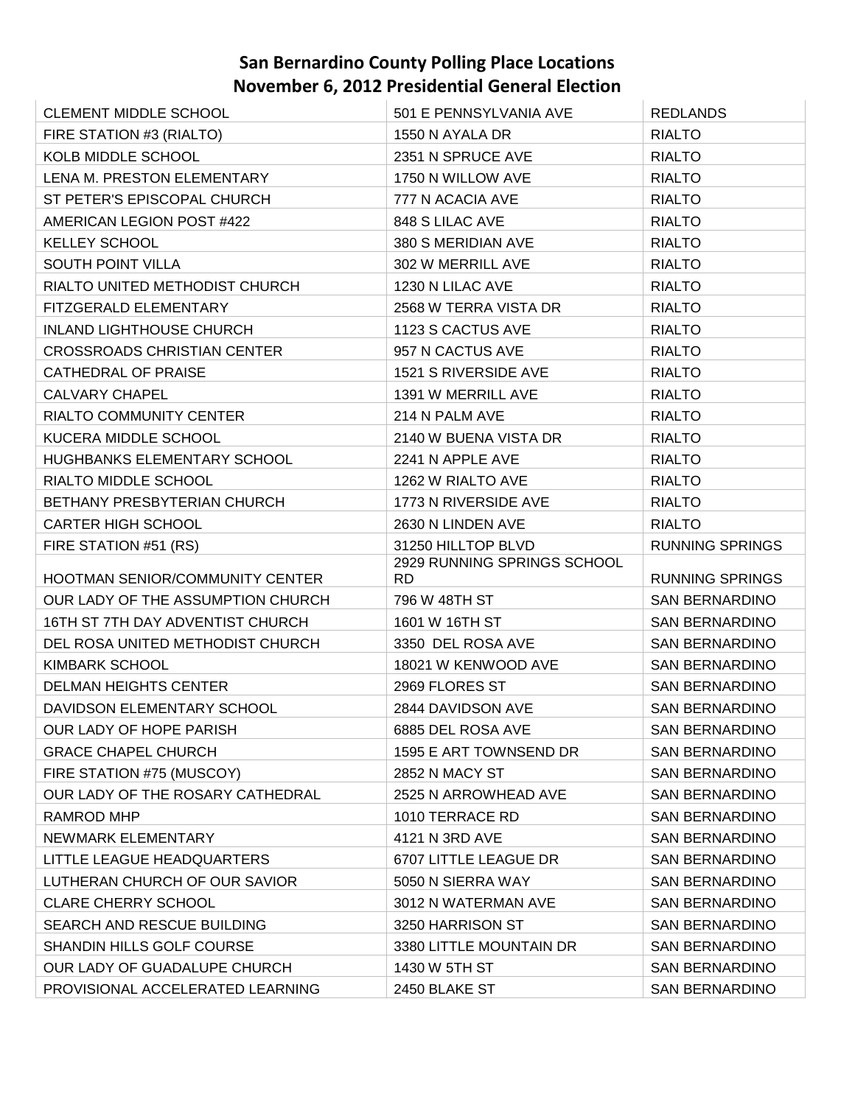| <b>CLEMENT MIDDLE SCHOOL</b>       | 501 E PENNSYLVANIA AVE             | <b>REDLANDS</b>        |
|------------------------------------|------------------------------------|------------------------|
| FIRE STATION #3 (RIALTO)           | 1550 N AYALA DR                    | <b>RIALTO</b>          |
| KOLB MIDDLE SCHOOL                 | 2351 N SPRUCE AVE                  | <b>RIALTO</b>          |
| LENA M. PRESTON ELEMENTARY         | 1750 N WILLOW AVE                  | <b>RIALTO</b>          |
| ST PETER'S EPISCOPAL CHURCH        | 777 N ACACIA AVE                   | <b>RIALTO</b>          |
| AMERICAN LEGION POST #422          | 848 S LILAC AVE                    | <b>RIALTO</b>          |
| <b>KELLEY SCHOOL</b>               | 380 S MERIDIAN AVE                 | <b>RIALTO</b>          |
| <b>SOUTH POINT VILLA</b>           | 302 W MERRILL AVE                  | <b>RIALTO</b>          |
| RIALTO UNITED METHODIST CHURCH     | 1230 N LILAC AVE                   | <b>RIALTO</b>          |
| FITZGERALD ELEMENTARY              | 2568 W TERRA VISTA DR              | <b>RIALTO</b>          |
| <b>INLAND LIGHTHOUSE CHURCH</b>    | 1123 S CACTUS AVE                  | <b>RIALTO</b>          |
| <b>CROSSROADS CHRISTIAN CENTER</b> | 957 N CACTUS AVE                   | <b>RIALTO</b>          |
| CATHEDRAL OF PRAISE                | 1521 S RIVERSIDE AVE               | <b>RIALTO</b>          |
| <b>CALVARY CHAPEL</b>              | 1391 W MERRILL AVE                 | <b>RIALTO</b>          |
| <b>RIALTO COMMUNITY CENTER</b>     | 214 N PALM AVE                     | <b>RIALTO</b>          |
| KUCERA MIDDLE SCHOOL               | 2140 W BUENA VISTA DR              | <b>RIALTO</b>          |
| HUGHBANKS ELEMENTARY SCHOOL        | 2241 N APPLE AVE                   | <b>RIALTO</b>          |
| RIALTO MIDDLE SCHOOL               | 1262 W RIALTO AVE                  | <b>RIALTO</b>          |
| BETHANY PRESBYTERIAN CHURCH        | 1773 N RIVERSIDE AVE               | <b>RIALTO</b>          |
| <b>CARTER HIGH SCHOOL</b>          | 2630 N LINDEN AVE                  | <b>RIALTO</b>          |
| FIRE STATION #51 (RS)              | 31250 HILLTOP BLVD                 | <b>RUNNING SPRINGS</b> |
|                                    |                                    |                        |
| HOOTMAN SENIOR/COMMUNITY CENTER    | 2929 RUNNING SPRINGS SCHOOL<br>RD. | <b>RUNNING SPRINGS</b> |
| OUR LADY OF THE ASSUMPTION CHURCH  | 796 W 48TH ST                      | <b>SAN BERNARDINO</b>  |
| 16TH ST 7TH DAY ADVENTIST CHURCH   | 1601 W 16TH ST                     | <b>SAN BERNARDINO</b>  |
| DEL ROSA UNITED METHODIST CHURCH   | 3350 DEL ROSA AVE                  | <b>SAN BERNARDINO</b>  |
| <b>KIMBARK SCHOOL</b>              | 18021 W KENWOOD AVE                | <b>SAN BERNARDINO</b>  |
| <b>DELMAN HEIGHTS CENTER</b>       | 2969 FLORES ST                     | <b>SAN BERNARDINO</b>  |
| DAVIDSON ELEMENTARY SCHOOL         | 2844 DAVIDSON AVE                  | <b>SAN BERNARDINO</b>  |
| OUR LADY OF HOPE PARISH            | 6885 DEL ROSA AVE                  | SAN BERNARDINO         |
| <b>GRACE CHAPEL CHURCH</b>         | 1595 E ART TOWNSEND DR             | <b>SAN BERNARDINO</b>  |
| FIRE STATION #75 (MUSCOY)          | 2852 N MACY ST                     | SAN BERNARDINO         |
| OUR LADY OF THE ROSARY CATHEDRAL   | 2525 N ARROWHEAD AVE               | <b>SAN BERNARDINO</b>  |
| RAMROD MHP                         | 1010 TERRACE RD                    | <b>SAN BERNARDINO</b>  |
| NEWMARK ELEMENTARY                 | 4121 N 3RD AVE                     | SAN BERNARDINO         |
| LITTLE LEAGUE HEADQUARTERS         | 6707 LITTLE LEAGUE DR              | SAN BERNARDINO         |
| LUTHERAN CHURCH OF OUR SAVIOR      | 5050 N SIERRA WAY                  | <b>SAN BERNARDINO</b>  |
| <b>CLARE CHERRY SCHOOL</b>         | 3012 N WATERMAN AVE                | <b>SAN BERNARDINO</b>  |
| <b>SEARCH AND RESCUE BUILDING</b>  | 3250 HARRISON ST                   | SAN BERNARDINO         |
| SHANDIN HILLS GOLF COURSE          | 3380 LITTLE MOUNTAIN DR            | <b>SAN BERNARDINO</b>  |
| OUR LADY OF GUADALUPE CHURCH       | 1430 W 5TH ST                      | <b>SAN BERNARDINO</b>  |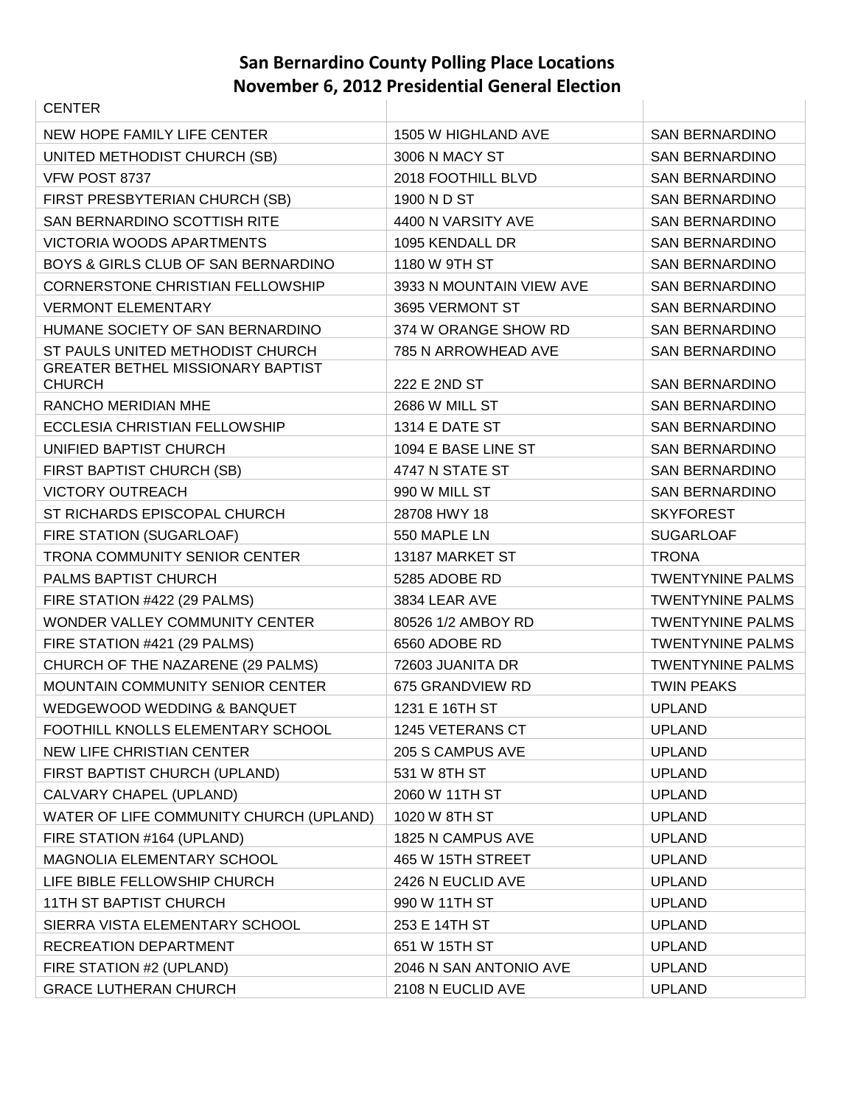| <b>CENTER</b>                            |                          |                         |
|------------------------------------------|--------------------------|-------------------------|
| NEW HOPE FAMILY LIFE CENTER              | 1505 W HIGHLAND AVE      | <b>SAN BERNARDINO</b>   |
| UNITED METHODIST CHURCH (SB)             | 3006 N MACY ST           | <b>SAN BERNARDINO</b>   |
| VFW POST 8737                            | 2018 FOOTHILL BLVD       | <b>SAN BERNARDINO</b>   |
| FIRST PRESBYTERIAN CHURCH (SB)           | 1900 N D ST              | <b>SAN BERNARDINO</b>   |
| SAN BERNARDINO SCOTTISH RITE             | 4400 N VARSITY AVE       | <b>SAN BERNARDINO</b>   |
| <b>VICTORIA WOODS APARTMENTS</b>         | 1095 KENDALL DR          | <b>SAN BERNARDINO</b>   |
| BOYS & GIRLS CLUB OF SAN BERNARDINO      | 1180 W 9TH ST            | <b>SAN BERNARDINO</b>   |
| <b>CORNERSTONE CHRISTIAN FELLOWSHIP</b>  | 3933 N MOUNTAIN VIEW AVE | <b>SAN BERNARDINO</b>   |
| <b>VERMONT ELEMENTARY</b>                | 3695 VERMONT ST          | <b>SAN BERNARDINO</b>   |
| HUMANE SOCIETY OF SAN BERNARDINO         | 374 W ORANGE SHOW RD     | <b>SAN BERNARDINO</b>   |
| ST PAULS UNITED METHODIST CHURCH         | 785 N ARROWHEAD AVE      | <b>SAN BERNARDINO</b>   |
| <b>GREATER BETHEL MISSIONARY BAPTIST</b> |                          |                         |
| <b>CHURCH</b>                            | 222 E 2ND ST             | <b>SAN BERNARDINO</b>   |
| RANCHO MERIDIAN MHE                      | 2686 W MILL ST           | <b>SAN BERNARDINO</b>   |
| ECCLESIA CHRISTIAN FELLOWSHIP            | 1314 E DATE ST           | <b>SAN BERNARDINO</b>   |
| UNIFIED BAPTIST CHURCH                   | 1094 E BASE LINE ST      | <b>SAN BERNARDINO</b>   |
| FIRST BAPTIST CHURCH (SB)                | 4747 N STATE ST          | <b>SAN BERNARDINO</b>   |
| <b>VICTORY OUTREACH</b>                  | 990 W MILL ST            | <b>SAN BERNARDINO</b>   |
| ST RICHARDS EPISCOPAL CHURCH             | 28708 HWY 18             | <b>SKYFOREST</b>        |
| FIRE STATION (SUGARLOAF)                 | 550 MAPLE LN             | <b>SUGARLOAF</b>        |
| TRONA COMMUNITY SENIOR CENTER            | 13187 MARKET ST          | <b>TRONA</b>            |
| PALMS BAPTIST CHURCH                     | 5285 ADOBE RD            | <b>TWENTYNINE PALMS</b> |
| FIRE STATION #422 (29 PALMS)             | 3834 LEAR AVE            | <b>TWENTYNINE PALMS</b> |
| WONDER VALLEY COMMUNITY CENTER           | 80526 1/2 AMBOY RD       | <b>TWENTYNINE PALMS</b> |
| FIRE STATION #421 (29 PALMS)             | 6560 ADOBE RD            | <b>TWENTYNINE PALMS</b> |
| CHURCH OF THE NAZARENE (29 PALMS)        | 72603 JUANITA DR         | <b>TWENTYNINE PALMS</b> |
| MOUNTAIN COMMUNITY SENIOR CENTER         | 675 GRANDVIEW RD         | <b>TWIN PEAKS</b>       |
| WEDGEWOOD WEDDING & BANQUET              | 1231 E 16TH ST           | <b>UPLAND</b>           |
| FOOTHILL KNOLLS ELEMENTARY SCHOOL        | 1245 VETERANS CT         | <b>UPLAND</b>           |
| NEW LIFE CHRISTIAN CENTER                | 205 S CAMPUS AVE         | <b>UPLAND</b>           |
| FIRST BAPTIST CHURCH (UPLAND)            | 531 W 8TH ST             | <b>UPLAND</b>           |
| CALVARY CHAPEL (UPLAND)                  | 2060 W 11TH ST           | <b>UPLAND</b>           |
| WATER OF LIFE COMMUNITY CHURCH (UPLAND)  | 1020 W 8TH ST            | <b>UPLAND</b>           |
| FIRE STATION #164 (UPLAND)               | 1825 N CAMPUS AVE        | <b>UPLAND</b>           |
| MAGNOLIA ELEMENTARY SCHOOL               | 465 W 15TH STREET        | <b>UPLAND</b>           |
| LIFE BIBLE FELLOWSHIP CHURCH             | 2426 N EUCLID AVE        | <b>UPLAND</b>           |
| 11TH ST BAPTIST CHURCH                   | 990 W 11TH ST            | <b>UPLAND</b>           |
| SIERRA VISTA ELEMENTARY SCHOOL           | 253 E 14TH ST            | <b>UPLAND</b>           |
| RECREATION DEPARTMENT                    | 651 W 15TH ST            | <b>UPLAND</b>           |
| FIRE STATION #2 (UPLAND)                 | 2046 N SAN ANTONIO AVE   | <b>UPLAND</b>           |
| <b>GRACE LUTHERAN CHURCH</b>             | 2108 N EUCLID AVE        | <b>UPLAND</b>           |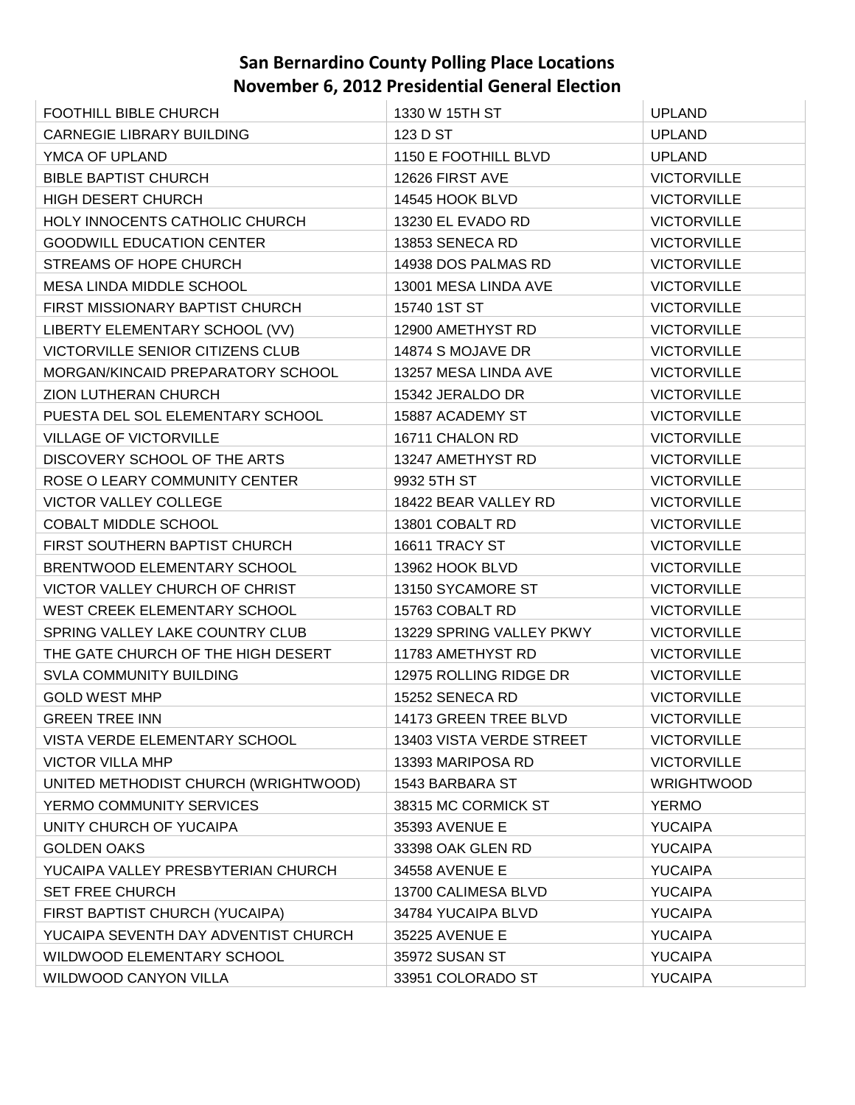| <b>FOOTHILL BIBLE CHURCH</b>            | 1330 W 15TH ST           | <b>UPLAND</b>      |
|-----------------------------------------|--------------------------|--------------------|
| <b>CARNEGIE LIBRARY BUILDING</b>        | 123 D ST                 | <b>UPLAND</b>      |
| YMCA OF UPLAND                          | 1150 E FOOTHILL BLVD     | <b>UPLAND</b>      |
| <b>BIBLE BAPTIST CHURCH</b>             | 12626 FIRST AVE          | <b>VICTORVILLE</b> |
| <b>HIGH DESERT CHURCH</b>               | 14545 HOOK BLVD          | <b>VICTORVILLE</b> |
| HOLY INNOCENTS CATHOLIC CHURCH          | 13230 EL EVADO RD        | <b>VICTORVILLE</b> |
| <b>GOODWILL EDUCATION CENTER</b>        | 13853 SENECA RD          | <b>VICTORVILLE</b> |
| STREAMS OF HOPE CHURCH                  | 14938 DOS PALMAS RD      | <b>VICTORVILLE</b> |
| MESA LINDA MIDDLE SCHOOL                | 13001 MESA LINDA AVE     | <b>VICTORVILLE</b> |
| FIRST MISSIONARY BAPTIST CHURCH         | 15740 1ST ST             | <b>VICTORVILLE</b> |
| LIBERTY ELEMENTARY SCHOOL (VV)          | 12900 AMETHYST RD        | <b>VICTORVILLE</b> |
| <b>VICTORVILLE SENIOR CITIZENS CLUB</b> | 14874 S MOJAVE DR        | <b>VICTORVILLE</b> |
| MORGAN/KINCAID PREPARATORY SCHOOL       | 13257 MESA LINDA AVE     | <b>VICTORVILLE</b> |
| ZION LUTHERAN CHURCH                    | 15342 JERALDO DR         | <b>VICTORVILLE</b> |
| PUESTA DEL SOL ELEMENTARY SCHOOL        | 15887 ACADEMY ST         | <b>VICTORVILLE</b> |
| <b>VILLAGE OF VICTORVILLE</b>           | 16711 CHALON RD          | <b>VICTORVILLE</b> |
| DISCOVERY SCHOOL OF THE ARTS            | 13247 AMETHYST RD        | <b>VICTORVILLE</b> |
| ROSE O LEARY COMMUNITY CENTER           | 9932 5TH ST              | <b>VICTORVILLE</b> |
| <b>VICTOR VALLEY COLLEGE</b>            | 18422 BEAR VALLEY RD     | <b>VICTORVILLE</b> |
| <b>COBALT MIDDLE SCHOOL</b>             | 13801 COBALT RD          | <b>VICTORVILLE</b> |
| FIRST SOUTHERN BAPTIST CHURCH           | 16611 TRACY ST           | <b>VICTORVILLE</b> |
| BRENTWOOD ELEMENTARY SCHOOL             | 13962 HOOK BLVD          | <b>VICTORVILLE</b> |
| VICTOR VALLEY CHURCH OF CHRIST          | 13150 SYCAMORE ST        | <b>VICTORVILLE</b> |
| <b>WEST CREEK ELEMENTARY SCHOOL</b>     | 15763 COBALT RD          | <b>VICTORVILLE</b> |
| SPRING VALLEY LAKE COUNTRY CLUB         | 13229 SPRING VALLEY PKWY | <b>VICTORVILLE</b> |
| THE GATE CHURCH OF THE HIGH DESERT      | 11783 AMETHYST RD        | <b>VICTORVILLE</b> |
| <b>SVLA COMMUNITY BUILDING</b>          | 12975 ROLLING RIDGE DR   | <b>VICTORVILLE</b> |
| <b>GOLD WEST MHP</b>                    | 15252 SENECA RD          | <b>VICTORVILLE</b> |
| <b>GREEN TREE INN</b>                   | 14173 GREEN TREE BLVD    | <b>VICTORVILLE</b> |
| VISTA VERDE ELEMENTARY SCHOOL           | 13403 VISTA VERDE STREET | <b>VICTORVILLE</b> |
| <b>VICTOR VILLA MHP</b>                 | 13393 MARIPOSA RD        | <b>VICTORVILLE</b> |
| UNITED METHODIST CHURCH (WRIGHTWOOD)    | 1543 BARBARA ST          | <b>WRIGHTWOOD</b>  |
| YERMO COMMUNITY SERVICES                | 38315 MC CORMICK ST      | <b>YERMO</b>       |
| UNITY CHURCH OF YUCAIPA                 | 35393 AVENUE E           | <b>YUCAIPA</b>     |
| <b>GOLDEN OAKS</b>                      | 33398 OAK GLEN RD        | <b>YUCAIPA</b>     |
| YUCAIPA VALLEY PRESBYTERIAN CHURCH      | 34558 AVENUE E           | <b>YUCAIPA</b>     |
| <b>SET FREE CHURCH</b>                  | 13700 CALIMESA BLVD      | <b>YUCAIPA</b>     |
| FIRST BAPTIST CHURCH (YUCAIPA)          | 34784 YUCAIPA BLVD       | <b>YUCAIPA</b>     |
| YUCAIPA SEVENTH DAY ADVENTIST CHURCH    | 35225 AVENUE E           | <b>YUCAIPA</b>     |
| WILDWOOD ELEMENTARY SCHOOL              | 35972 SUSAN ST           | <b>YUCAIPA</b>     |
| WILDWOOD CANYON VILLA                   | 33951 COLORADO ST        | <b>YUCAIPA</b>     |